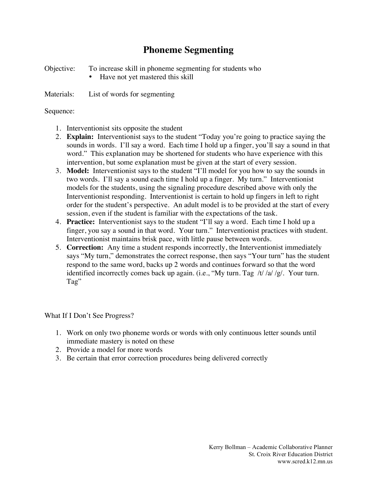## **Phoneme Segmenting**

Objective: To increase skill in phoneme segmenting for students who

Have not yet mastered this skill

Materials: List of words for segmenting

Sequence:

- 1. Interventionist sits opposite the student
- 2. **Explain:** Interventionist says to the student "Today you're going to practice saying the sounds in words. I'll say a word. Each time I hold up a finger, you'll say a sound in that word." This explanation may be shortened for students who have experience with this intervention, but some explanation must be given at the start of every session.
- 3. **Model:** Interventionist says to the student "I'll model for you how to say the sounds in two words. I'll say a sound each time I hold up a finger. My turn." Interventionist models for the students, using the signaling procedure described above with only the Interventionist responding. Interventionist is certain to hold up fingers in left to right order for the student's perspective. An adult model is to be provided at the start of every session, even if the student is familiar with the expectations of the task.
- 4. **Practice:** Interventionist says to the student "I'll say a word. Each time I hold up a finger, you say a sound in that word. Your turn." Interventionist practices with student. Interventionist maintains brisk pace, with little pause between words.
- 5. **Correction:** Any time a student responds incorrectly, the Interventionist immediately says "My turn," demonstrates the correct response, then says "Your turn" has the student respond to the same word, backs up 2 words and continues forward so that the word identified incorrectly comes back up again. (i.e., "My turn. Tag /t/ /a/ /g/. Your turn. Tag"

What If I Don't See Progress?

- 1. Work on only two phoneme words or words with only continuous letter sounds until immediate mastery is noted on these
- 2. Provide a model for more words
- 3. Be certain that error correction procedures being delivered correctly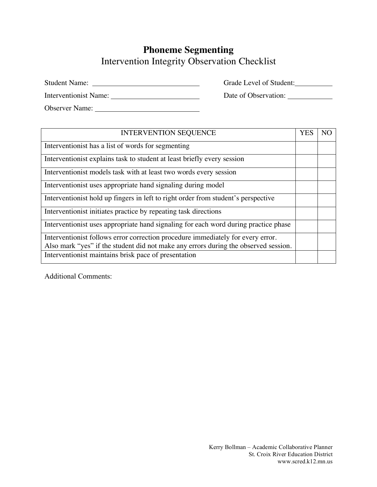## **Phoneme Segmenting** Intervention Integrity Observation Checklist

Student Name: Grade Level of Student:

Interventionist Name: Date of Observation:

Observer Name:

| <b>INTERVENTION SEQUENCE</b>                                                        | <b>YES</b> | N <sub>C</sub> |
|-------------------------------------------------------------------------------------|------------|----------------|
| Interventionist has a list of words for segmenting                                  |            |                |
| Interventionist explains task to student at least briefly every session             |            |                |
| Interventionist models task with at least two words every session                   |            |                |
| Interventionist uses appropriate hand signaling during model                        |            |                |
| Interventionist hold up fingers in left to right order from student's perspective   |            |                |
| Interventionist initiates practice by repeating task directions                     |            |                |
| Interventionist uses appropriate hand signaling for each word during practice phase |            |                |
| Interventionist follows error correction procedure immediately for every error.     |            |                |
| Also mark "yes" if the student did not make any errors during the observed session. |            |                |
| Interventionist maintains brisk pace of presentation                                |            |                |

Additional Comments: